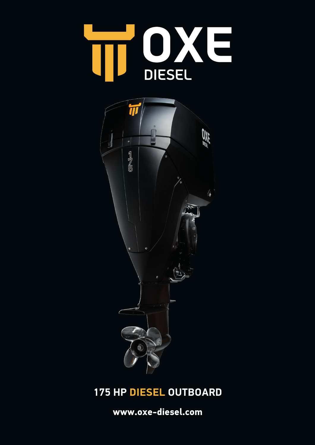



## **175 HP DIESEL OUTBOARD**

**www.oxe-diesel.com**